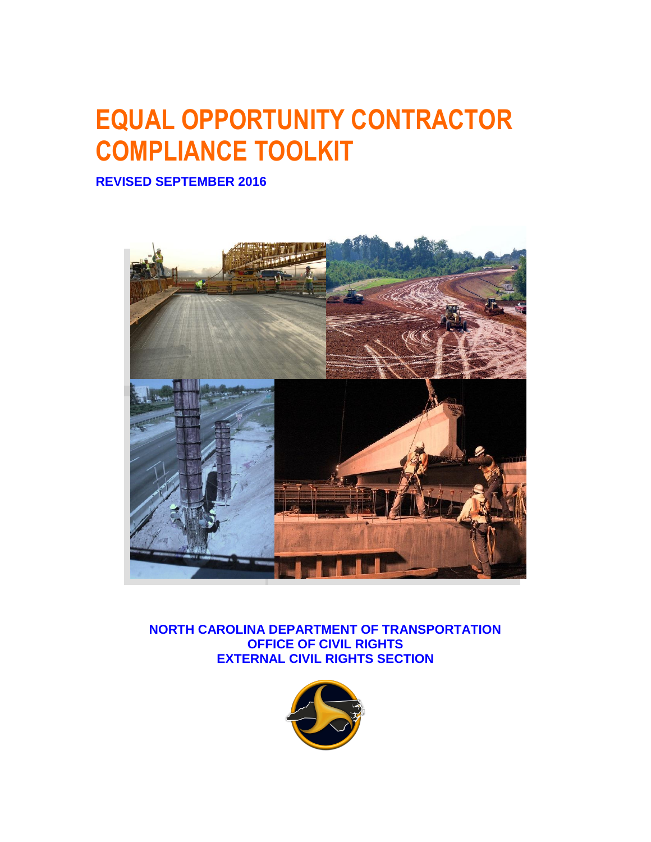# **EQUAL OPPORTUNITY CONTRACTOR COMPLIANCE TOOLKIT**

**REVISED SEPTEMBER 2016**



**NORTH CAROLINA DEPARTMENT OF TRANSPORTATION OFFICE OF CIVIL RIGHTS EXTERNAL CIVIL RIGHTS SECTION**

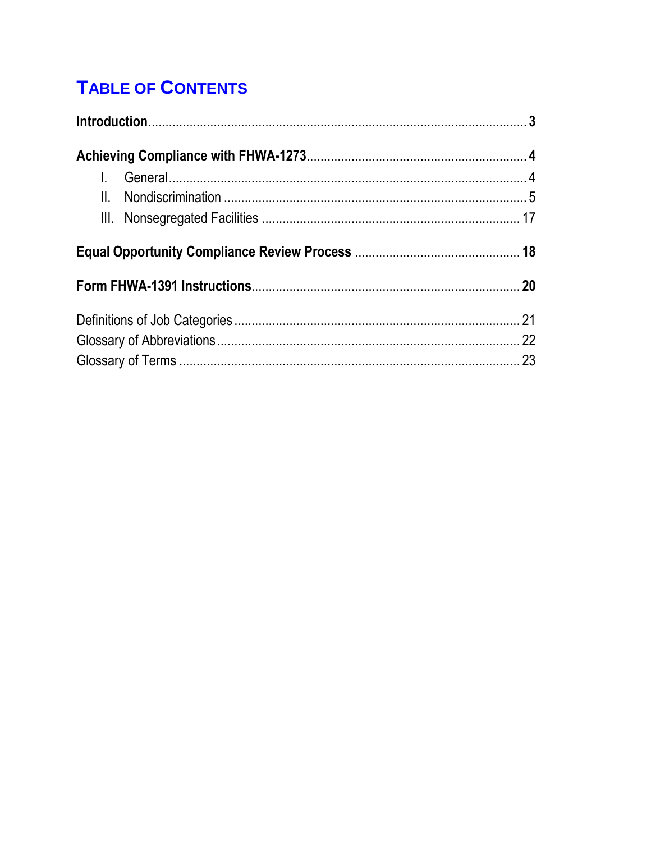## **TABLE OF CONTENTS**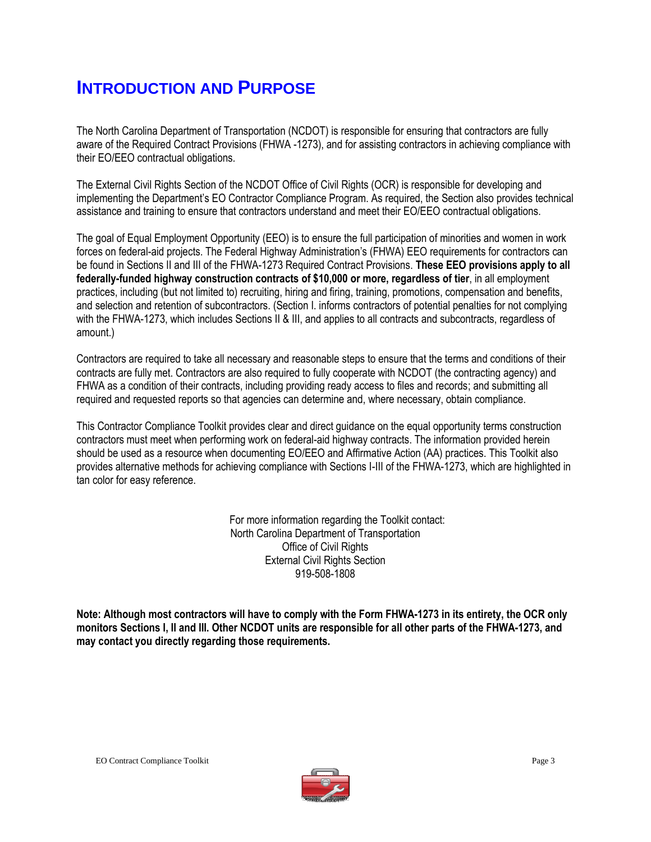## **INTRODUCTION AND PURPOSE**

The North Carolina Department of Transportation (NCDOT) is responsible for ensuring that contractors are fully aware of the Required Contract Provisions (FHWA -1273), and for assisting contractors in achieving compliance with their EO/EEO contractual obligations.

The External Civil Rights Section of the NCDOT Office of Civil Rights (OCR) is responsible for developing and implementing the Department's EO Contractor Compliance Program. As required, the Section also provides technical assistance and training to ensure that contractors understand and meet their EO/EEO contractual obligations.

The goal of Equal Employment Opportunity (EEO) is to ensure the full participation of minorities and women in work forces on federal-aid projects. The Federal Highway Administration's (FHWA) EEO requirements for contractors can be found in Sections II and III of the FHWA-1273 Required Contract Provisions. **These EEO provisions apply to all federally-funded highway construction contracts of \$10,000 or more, regardless of tier**, in all employment practices, including (but not limited to) recruiting, hiring and firing, training, promotions, compensation and benefits, and selection and retention of subcontractors. (Section I. informs contractors of potential penalties for not complying with the FHWA-1273, which includes Sections II & III, and applies to all contracts and subcontracts, regardless of amount.)

Contractors are required to take all necessary and reasonable steps to ensure that the terms and conditions of their contracts are fully met. Contractors are also required to fully cooperate with NCDOT (the contracting agency) and FHWA as a condition of their contracts, including providing ready access to files and records; and submitting all required and requested reports so that agencies can determine and, where necessary, obtain compliance.

This Contractor Compliance Toolkit provides clear and direct guidance on the equal opportunity terms construction contractors must meet when performing work on federal-aid highway contracts. The information provided herein should be used as a resource when documenting EO/EEO and Affirmative Action (AA) practices. This Toolkit also provides alternative methods for achieving compliance with Sections I-III of the FHWA-1273, which are highlighted in tan color for easy reference.

> For more information regarding the Toolkit contact: North Carolina Department of Transportation Office of Civil Rights External Civil Rights Section 919-508-1808

**Note: Although most contractors will have to comply with the Form FHWA-1273 in its entirety, the OCR only monitors Sections I, II and III. Other NCDOT units are responsible for all other parts of the FHWA-1273, and may contact you directly regarding those requirements.**

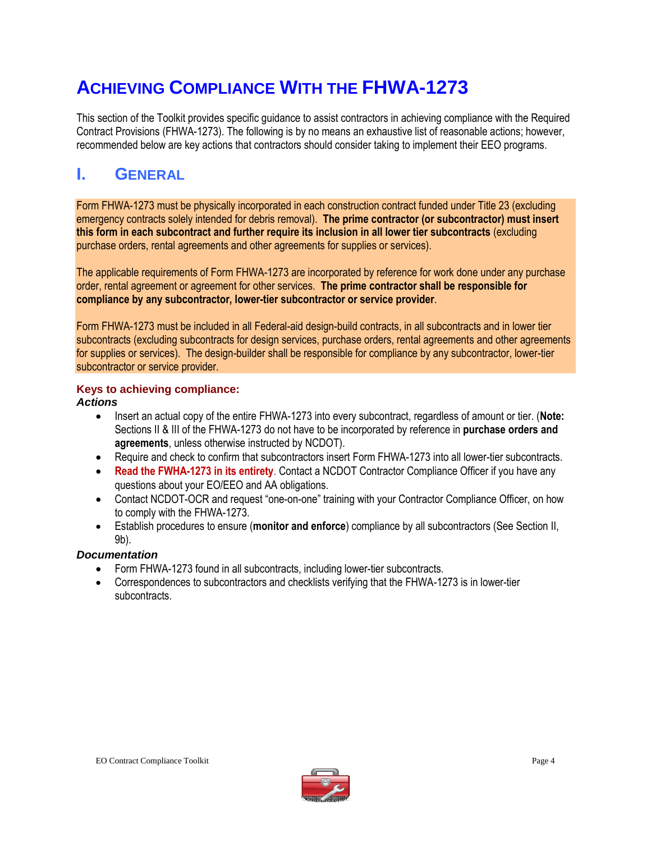## **ACHIEVING COMPLIANCE WITH THE FHWA-1273**

This section of the Toolkit provides specific guidance to assist contractors in achieving compliance with the Required Contract Provisions (FHWA-1273). The following is by no means an exhaustive list of reasonable actions; however, recommended below are key actions that contractors should consider taking to implement their EEO programs.

## **I. GENERAL**

Form FHWA-1273 must be physically incorporated in each construction contract funded under Title 23 (excluding emergency contracts solely intended for debris removal). **The prime contractor (or subcontractor) must insert this form in each subcontract and further require its inclusion in all lower tier subcontracts** (excluding purchase orders, rental agreements and other agreements for supplies or services).

The applicable requirements of Form FHWA-1273 are incorporated by reference for work done under any purchase order, rental agreement or agreement for other services. **The prime contractor shall be responsible for compliance by any subcontractor, lower-tier subcontractor or service provider**.

Form FHWA-1273 must be included in all Federal-aid design-build contracts, in all subcontracts and in lower tier subcontracts (excluding subcontracts for design services, purchase orders, rental agreements and other agreements for supplies or services). The design-builder shall be responsible for compliance by any subcontractor, lower-tier subcontractor or service provider.

#### **Keys to achieving compliance:**

*Actions*

- Insert an actual copy of the entire FHWA-1273 into every subcontract, regardless of amount or tier. (**Note:** Sections II & III of the FHWA-1273 do not have to be incorporated by reference in **purchase orders and agreements**, unless otherwise instructed by NCDOT).
- Require and check to confirm that subcontractors insert Form FHWA-1273 into all lower-tier subcontracts.
- **Read the FWHA-1273 in its entirety**. Contact a NCDOT Contractor Compliance Officer if you have any questions about your EO/EEO and AA obligations.
- Contact NCDOT-OCR and request "one-on-one" training with your Contractor Compliance Officer, on how to comply with the FHWA-1273.
- Establish procedures to ensure (**monitor and enforce**) compliance by all subcontractors (See Section II, 9b).

#### *Documentation*

- Form FHWA-1273 found in all subcontracts, including lower-tier subcontracts.
- Correspondences to subcontractors and checklists verifying that the FHWA-1273 is in lower-tier subcontracts.

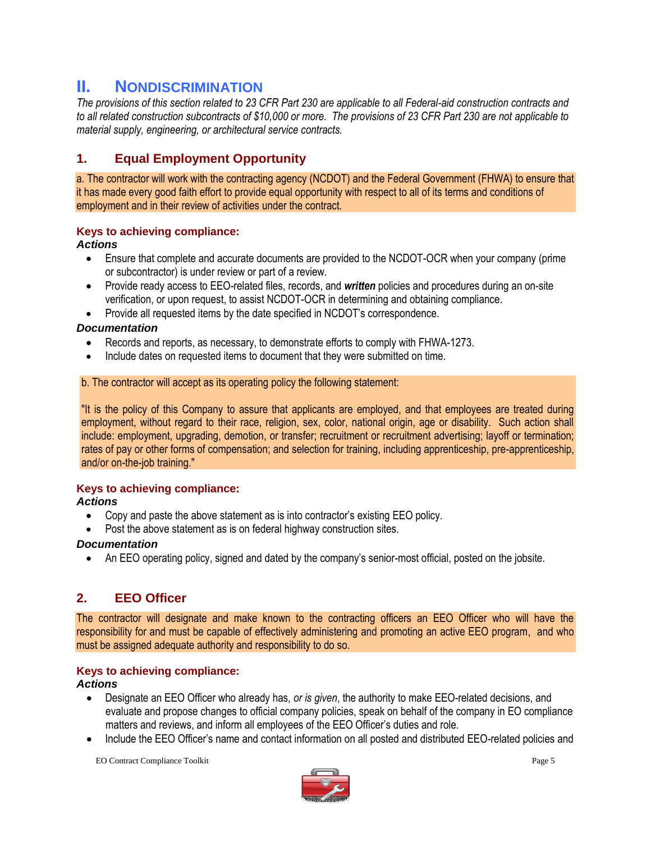### **II. NONDISCRIMINATION**

*The provisions of this section related to 23 CFR Part 230 are applicable to all Federal-aid construction contracts and to all related construction subcontracts of \$10,000 or more. The provisions of 23 CFR Part 230 are not applicable to material supply, engineering, or architectural service contracts.*

#### **1. Equal Employment Opportunity**

a. The contractor will work with the contracting agency (NCDOT) and the Federal Government (FHWA) to ensure that it has made every good faith effort to provide equal opportunity with respect to all of its terms and conditions of employment and in their review of activities under the contract.

#### **Keys to achieving compliance:**

#### *Actions*

- Ensure that complete and accurate documents are provided to the NCDOT-OCR when your company (prime or subcontractor) is under review or part of a review.
- Provide ready access to EEO-related files, records, and *written* policies and procedures during an on-site verification, or upon request, to assist NCDOT-OCR in determining and obtaining compliance.
- Provide all requested items by the date specified in NCDOT's correspondence.

#### *Documentation*

- Records and reports, as necessary, to demonstrate efforts to comply with FHWA-1273.
- Include dates on requested items to document that they were submitted on time.

#### b. The contractor will accept as its operating policy the following statement:

"It is the policy of this Company to assure that applicants are employed, and that employees are treated during employment, without regard to their race, religion, sex, color, national origin, age or disability. Such action shall include: employment, upgrading, demotion, or transfer; recruitment or recruitment advertising; layoff or termination; rates of pay or other forms of compensation; and selection for training, including apprenticeship, pre-apprenticeship, and/or on-the-job training."

#### **Keys to achieving compliance:**

#### *Actions*

- Copy and paste the above statement as is into contractor's existing EEO policy.
- Post the above statement as is on federal highway construction sites.

#### *Documentation*

An EEO operating policy, signed and dated by the company's senior-most official, posted on the jobsite.

#### **2. EEO Officer**

The contractor will designate and make known to the contracting officers an EEO Officer who will have the responsibility for and must be capable of effectively administering and promoting an active EEO program, and who must be assigned adequate authority and responsibility to do so.

#### **Keys to achieving compliance:**

#### *Actions*

- Designate an EEO Officer who already has, *or is given*, the authority to make EEO-related decisions, and evaluate and propose changes to official company policies, speak on behalf of the company in EO compliance matters and reviews, and inform all employees of the EEO Officer's duties and role.
- Include the EEO Officer's name and contact information on all posted and distributed EEO-related policies and

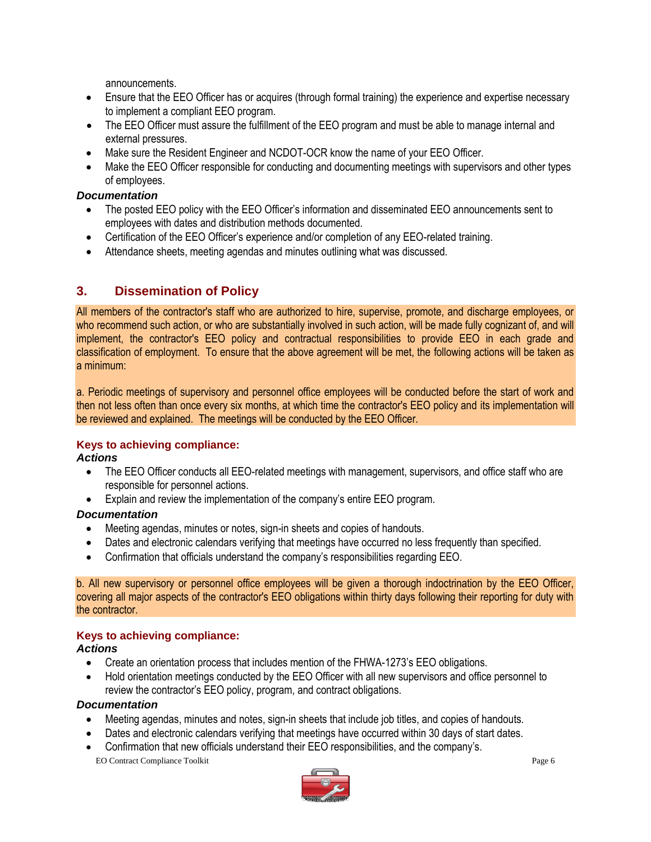announcements.

- Ensure that the EEO Officer has or acquires (through formal training) the experience and expertise necessary to implement a compliant EEO program.
- The EEO Officer must assure the fulfillment of the EEO program and must be able to manage internal and external pressures.
- Make sure the Resident Engineer and NCDOT-OCR know the name of your EEO Officer.
- Make the EEO Officer responsible for conducting and documenting meetings with supervisors and other types of employees.

#### *Documentation*

- The posted EEO policy with the EEO Officer's information and disseminated EEO announcements sent to employees with dates and distribution methods documented.
- Certification of the EEO Officer's experience and/or completion of any EEO-related training.
- Attendance sheets, meeting agendas and minutes outlining what was discussed.

#### **3. Dissemination of Policy**

All members of the contractor's staff who are authorized to hire, supervise, promote, and discharge employees, or who recommend such action, or who are substantially involved in such action, will be made fully cognizant of, and will implement, the contractor's EEO policy and contractual responsibilities to provide EEO in each grade and classification of employment. To ensure that the above agreement will be met, the following actions will be taken as a minimum:

a. Periodic meetings of supervisory and personnel office employees will be conducted before the start of work and then not less often than once every six months, at which time the contractor's EEO policy and its implementation will be reviewed and explained. The meetings will be conducted by the EEO Officer.

#### **Keys to achieving compliance:**

#### *Actions*

- The EEO Officer conducts all EEO-related meetings with management, supervisors, and office staff who are responsible for personnel actions.
- Explain and review the implementation of the company's entire EEO program.

#### *Documentation*

- Meeting agendas, minutes or notes, sign-in sheets and copies of handouts.
- Dates and electronic calendars verifying that meetings have occurred no less frequently than specified.
- Confirmation that officials understand the company's responsibilities regarding EEO.

b. All new supervisory or personnel office employees will be given a thorough indoctrination by the EEO Officer, covering all major aspects of the contractor's EEO obligations within thirty days following their reporting for duty with the contractor.

#### **Keys to achieving compliance:**

#### *Actions*

- Create an orientation process that includes mention of the FHWA-1273's EEO obligations.
- Hold orientation meetings conducted by the EEO Officer with all new supervisors and office personnel to review the contractor's EEO policy, program, and contract obligations.

#### *Documentation*

- Meeting agendas, minutes and notes, sign-in sheets that include job titles, and copies of handouts.
- Dates and electronic calendars verifying that meetings have occurred within 30 days of start dates.
- EO Contract Compliance Toolkit Page 6 Confirmation that new officials understand their EEO responsibilities, and the company's.

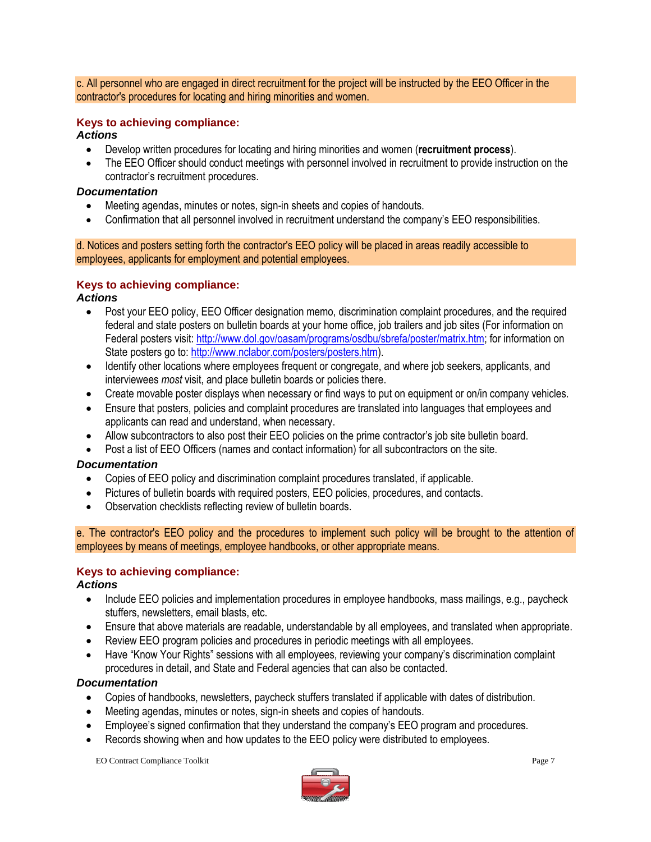c. All personnel who are engaged in direct recruitment for the project will be instructed by the EEO Officer in the contractor's procedures for locating and hiring minorities and women.

#### **Keys to achieving compliance:**

#### *Actions*

- Develop written procedures for locating and hiring minorities and women (**recruitment process**).
- The EEO Officer should conduct meetings with personnel involved in recruitment to provide instruction on the contractor's recruitment procedures.

#### *Documentation*

- Meeting agendas, minutes or notes, sign-in sheets and copies of handouts.
- Confirmation that all personnel involved in recruitment understand the company's EEO responsibilities.

d. Notices and posters setting forth the contractor's EEO policy will be placed in areas readily accessible to employees, applicants for employment and potential employees.

#### **Keys to achieving compliance:**

#### *Actions*

- Post your EEO policy, EEO Officer designation memo, discrimination complaint procedures, and the required federal and state posters on bulletin boards at your home office, job trailers and job sites (For information on Federal posters visit[: http://www.dol.gov/oasam/programs/osdbu/sbrefa/poster/matrix.htm;](http://www.dol.gov/oasam/programs/osdbu/sbrefa/poster/matrix.htm) for information on State posters go to: [http://www.nclabor.com/posters/posters.htm\)](http://www.nclabor.com/posters/posters.htm).
- Identify other locations where employees frequent or congregate, and where job seekers, applicants, and interviewees *most* visit, and place bulletin boards or policies there.
- Create movable poster displays when necessary or find ways to put on equipment or on/in company vehicles.
- Ensure that posters, policies and complaint procedures are translated into languages that employees and applicants can read and understand, when necessary.
- Allow subcontractors to also post their EEO policies on the prime contractor's job site bulletin board.
- Post a list of EEO Officers (names and contact information) for all subcontractors on the site.

#### *Documentation*

- Copies of EEO policy and discrimination complaint procedures translated, if applicable.
- Pictures of bulletin boards with required posters, EEO policies, procedures, and contacts.
- Observation checklists reflecting review of bulletin boards.

e. The contractor's EEO policy and the procedures to implement such policy will be brought to the attention of employees by means of meetings, employee handbooks, or other appropriate means.

#### **Keys to achieving compliance:**

#### *Actions*

- Include EEO policies and implementation procedures in employee handbooks, mass mailings, e.g., paycheck stuffers, newsletters, email blasts, etc.
- Ensure that above materials are readable, understandable by all employees, and translated when appropriate.
- Review EEO program policies and procedures in periodic meetings with all employees.
- Have "Know Your Rights" sessions with all employees, reviewing your company's discrimination complaint procedures in detail, and State and Federal agencies that can also be contacted.

#### *Documentation*

- Copies of handbooks, newsletters, paycheck stuffers translated if applicable with dates of distribution*.*
- Meeting agendas, minutes or notes, sign-in sheets and copies of handouts.
- Employee's signed confirmation that they understand the company's EEO program and procedures.
- Records showing when and how updates to the EEO policy were distributed to employees.

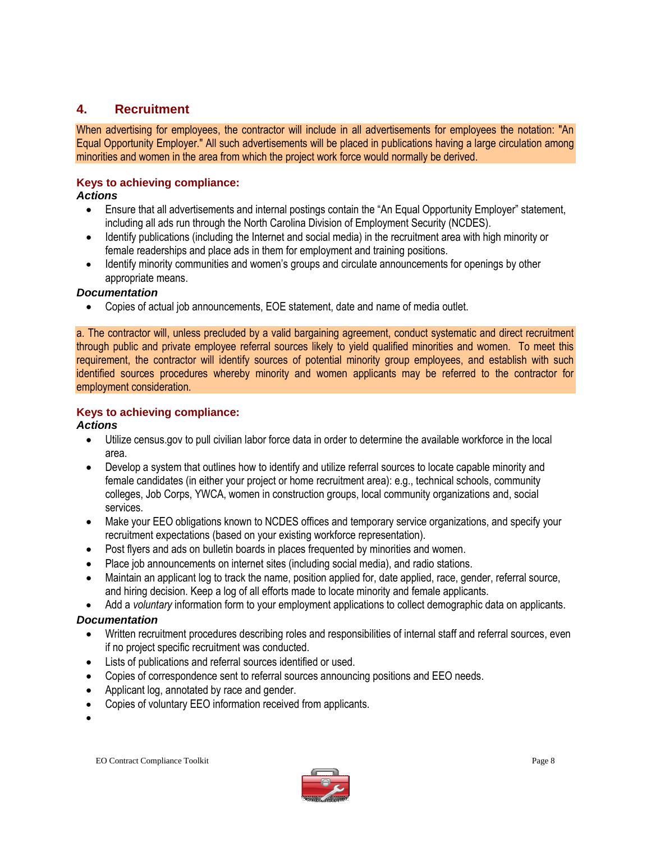#### **4. Recruitment**

When advertising for employees, the contractor will include in all advertisements for employees the notation: "An Equal Opportunity Employer." All such advertisements will be placed in publications having a large circulation among minorities and women in the area from which the project work force would normally be derived.

#### **Keys to achieving compliance:**

#### *Actions*

- Ensure that all advertisements and internal postings contain the "An Equal Opportunity Employer" statement, including all ads run through the North Carolina Division of Employment Security (NCDES).
- Identify publications (including the Internet and social media) in the recruitment area with high minority or female readerships and place ads in them for employment and training positions.
- Identify minority communities and women's groups and circulate announcements for openings by other appropriate means.

#### *Documentation*

Copies of actual job announcements, EOE statement, date and name of media outlet.

a. The contractor will, unless precluded by a valid bargaining agreement, conduct systematic and direct recruitment through public and private employee referral sources likely to yield qualified minorities and women. To meet this requirement, the contractor will identify sources of potential minority group employees, and establish with such identified sources procedures whereby minority and women applicants may be referred to the contractor for employment consideration.

#### **Keys to achieving compliance:**

#### *Actions*

- Utilize census.gov to pull civilian labor force data in order to determine the available workforce in the local area.
- Develop a system that outlines how to identify and utilize referral sources to locate capable minority and female candidates (in either your project or home recruitment area): e.g., technical schools, community colleges, Job Corps, YWCA, women in construction groups, local community organizations and, social services.
- Make your EEO obligations known to NCDES offices and temporary service organizations, and specify your recruitment expectations (based on your existing workforce representation).
- Post flyers and ads on bulletin boards in places frequented by minorities and women.
- Place job announcements on internet sites (including social media), and radio stations.
- Maintain an applicant log to track the name, position applied for, date applied, race, gender, referral source, and hiring decision. Keep a log of all efforts made to locate minority and female applicants.
- Add a *voluntary* information form to your employment applications to collect demographic data on applicants.

#### *Documentation*

- Written recruitment procedures describing roles and responsibilities of internal staff and referral sources, even if no project specific recruitment was conducted.
- Lists of publications and referral sources identified or used.
- Copies of correspondence sent to referral sources announcing positions and EEO needs.
- Applicant log, annotated by race and gender.
- Copies of voluntary EEO information received from applicants.
- $\bullet$

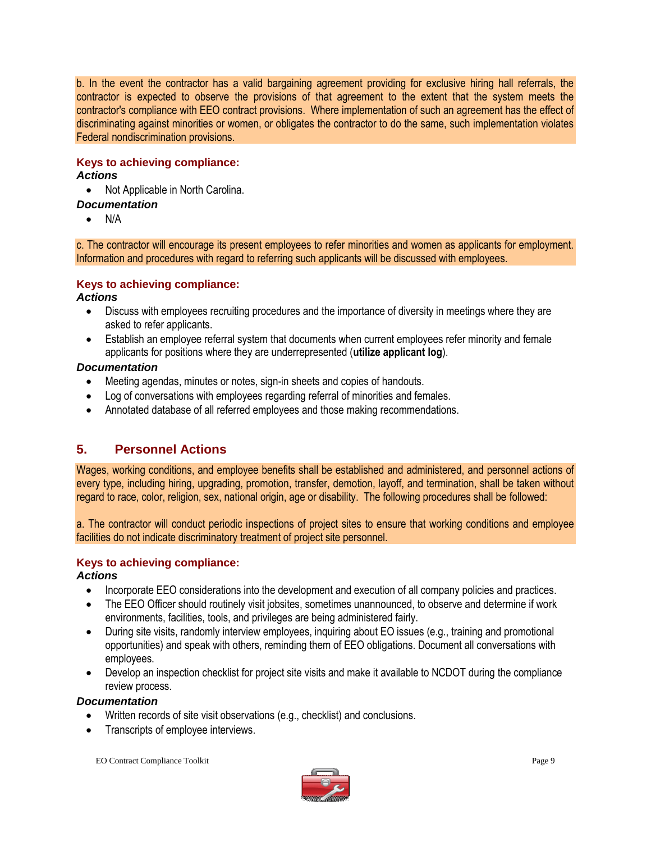b. In the event the contractor has a valid bargaining agreement providing for exclusive hiring hall referrals, the contractor is expected to observe the provisions of that agreement to the extent that the system meets the contractor's compliance with EEO contract provisions. Where implementation of such an agreement has the effect of discriminating against minorities or women, or obligates the contractor to do the same, such implementation violates Federal nondiscrimination provisions.

#### **Keys to achieving compliance:**

#### *Actions*

• Not Applicable in North Carolina.

#### *Documentation*

 $\bullet$  N/A

c. The contractor will encourage its present employees to refer minorities and women as applicants for employment. Information and procedures with regard to referring such applicants will be discussed with employees.

#### **Keys to achieving compliance:**

#### *Actions*

- Discuss with employees recruiting procedures and the importance of diversity in meetings where they are asked to refer applicants.
- Establish an employee referral system that documents when current employees refer minority and female applicants for positions where they are underrepresented (**utilize applicant log**).

#### *Documentation*

- Meeting agendas, minutes or notes, sign-in sheets and copies of handouts.
- Log of conversations with employees regarding referral of minorities and females.
- Annotated database of all referred employees and those making recommendations.

#### **5. Personnel Actions**

Wages, working conditions, and employee benefits shall be established and administered, and personnel actions of every type, including hiring, upgrading, promotion, transfer, demotion, layoff, and termination, shall be taken without regard to race, color, religion, sex, national origin, age or disability. The following procedures shall be followed:

a. The contractor will conduct periodic inspections of project sites to ensure that working conditions and employee facilities do not indicate discriminatory treatment of project site personnel.

#### **Keys to achieving compliance:**

#### *Actions*

- Incorporate EEO considerations into the development and execution of all company policies and practices.
- The EEO Officer should routinely visit jobsites, sometimes unannounced, to observe and determine if work environments, facilities, tools, and privileges are being administered fairly.
- During site visits, randomly interview employees, inquiring about EO issues (e.g., training and promotional opportunities) and speak with others, reminding them of EEO obligations. Document all conversations with employees.
- Develop an inspection checklist for project site visits and make it available to NCDOT during the compliance review process.

#### *Documentation*

- Written records of site visit observations (e.g., checklist) and conclusions.
- Transcripts of employee interviews.

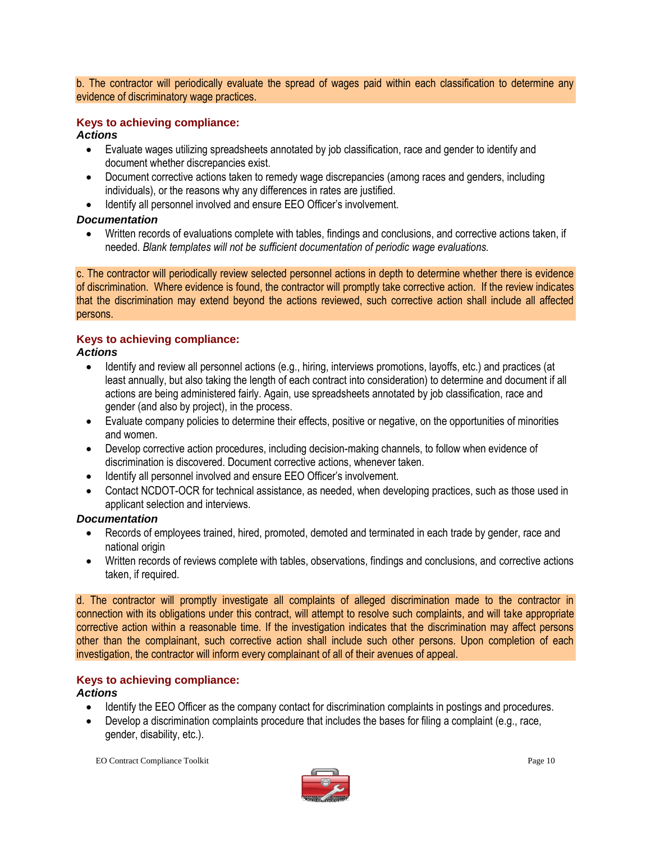b. The contractor will periodically evaluate the spread of wages paid within each classification to determine any evidence of discriminatory wage practices.

#### **Keys to achieving compliance:**

#### *Actions*

- Evaluate wages utilizing spreadsheets annotated by job classification, race and gender to identify and document whether discrepancies exist.
- Document corrective actions taken to remedy wage discrepancies (among races and genders, including individuals), or the reasons why any differences in rates are justified.
- Identify all personnel involved and ensure EEO Officer's involvement.

#### *Documentation*

 Written records of evaluations complete with tables, findings and conclusions, and corrective actions taken, if needed. *Blank templates will not be sufficient documentation of periodic wage evaluations.*

c. The contractor will periodically review selected personnel actions in depth to determine whether there is evidence of discrimination. Where evidence is found, the contractor will promptly take corrective action. If the review indicates that the discrimination may extend beyond the actions reviewed, such corrective action shall include all affected persons.

#### **Keys to achieving compliance:**

#### *Actions*

- Identify and review all personnel actions (e.g., hiring, interviews promotions, layoffs, etc.) and practices (at least annually, but also taking the length of each contract into consideration) to determine and document if all actions are being administered fairly. Again, use spreadsheets annotated by job classification, race and gender (and also by project), in the process.
- Evaluate company policies to determine their effects, positive or negative, on the opportunities of minorities and women.
- Develop corrective action procedures, including decision-making channels, to follow when evidence of discrimination is discovered. Document corrective actions, whenever taken.
- Identify all personnel involved and ensure EEO Officer's involvement.
- Contact NCDOT-OCR for technical assistance, as needed, when developing practices, such as those used in applicant selection and interviews.

#### *Documentation*

- Records of employees trained, hired, promoted, demoted and terminated in each trade by gender, race and national origin
- Written records of reviews complete with tables, observations, findings and conclusions, and corrective actions taken, if required.

d. The contractor will promptly investigate all complaints of alleged discrimination made to the contractor in connection with its obligations under this contract, will attempt to resolve such complaints, and will take appropriate corrective action within a reasonable time. If the investigation indicates that the discrimination may affect persons other than the complainant, such corrective action shall include such other persons. Upon completion of each investigation, the contractor will inform every complainant of all of their avenues of appeal.

#### **Keys to achieving compliance:**

#### *Actions*

- Identify the EEO Officer as the company contact for discrimination complaints in postings and procedures.
- Develop a discrimination complaints procedure that includes the bases for filing a complaint (e.g., race, gender, disability, etc.).

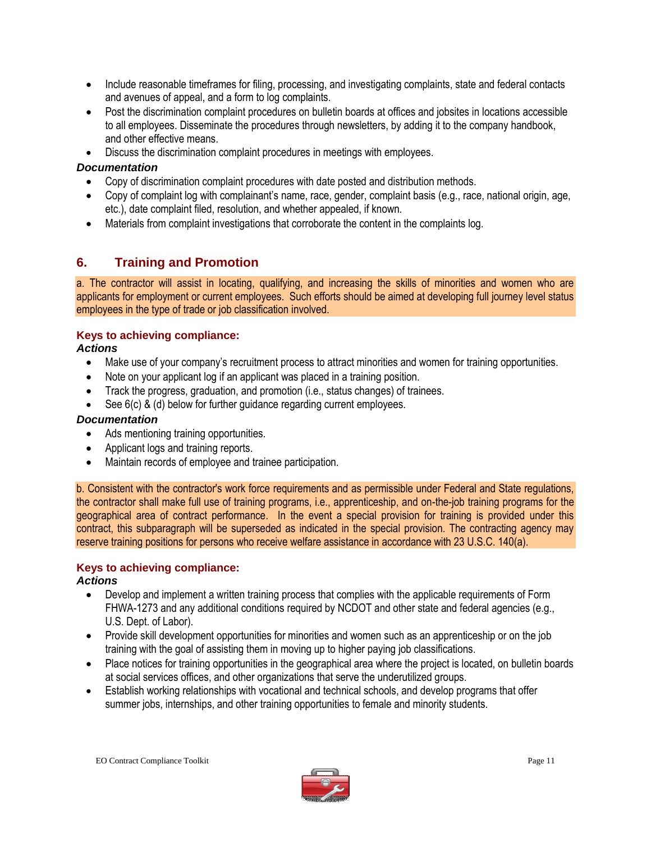- Include reasonable timeframes for filing, processing, and investigating complaints, state and federal contacts and avenues of appeal, and a form to log complaints.
- Post the discrimination complaint procedures on bulletin boards at offices and jobsites in locations accessible to all employees. Disseminate the procedures through newsletters, by adding it to the company handbook, and other effective means.
- Discuss the discrimination complaint procedures in meetings with employees.

#### *Documentation*

- Copy of discrimination complaint procedures with date posted and distribution methods.
- Copy of complaint log with complainant's name, race, gender, complaint basis (e.g., race, national origin, age, etc.), date complaint filed, resolution, and whether appealed, if known.
- Materials from complaint investigations that corroborate the content in the complaints log.

#### **6. Training and Promotion**

a. The contractor will assist in locating, qualifying, and increasing the skills of minorities and women who are applicants for employment or current employees. Such efforts should be aimed at developing full journey level status employees in the type of trade or job classification involved.

#### **Keys to achieving compliance:**

*Actions*

- Make use of your company's recruitment process to attract minorities and women for training opportunities.
- Note on your applicant log if an applicant was placed in a training position.
- Track the progress, graduation, and promotion (i.e., status changes) of trainees.
- See 6(c) & (d) below for further guidance regarding current employees.

#### *Documentation*

- Ads mentioning training opportunities.
- Applicant logs and training reports.
- Maintain records of employee and trainee participation.

b. Consistent with the contractor's work force requirements and as permissible under Federal and State regulations, the contractor shall make full use of training programs, i.e., apprenticeship, and on-the-job training programs for the geographical area of contract performance. In the event a special provision for training is provided under this contract, this subparagraph will be superseded as indicated in the special provision. The contracting agency may reserve training positions for persons who receive welfare assistance in accordance with 23 U.S.C. 140(a).

#### **Keys to achieving compliance:**

#### *Actions*

- Develop and implement a written training process that complies with the applicable requirements of Form FHWA-1273 and any additional conditions required by NCDOT and other state and federal agencies (e.g., U.S. Dept. of Labor).
- Provide skill development opportunities for minorities and women such as an apprenticeship or on the job training with the goal of assisting them in moving up to higher paying job classifications.
- Place notices for training opportunities in the geographical area where the project is located, on bulletin boards at social services offices, and other organizations that serve the underutilized groups.
- Establish working relationships with vocational and technical schools, and develop programs that offer summer jobs, internships, and other training opportunities to female and minority students.

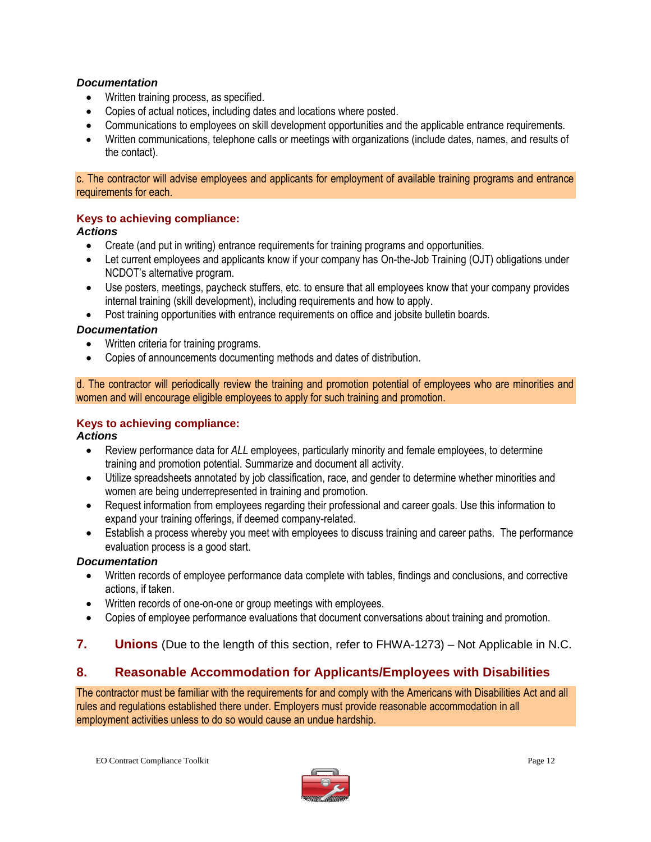#### *Documentation*

- Written training process, as specified.
- Copies of actual notices, including dates and locations where posted.
- Communications to employees on skill development opportunities and the applicable entrance requirements.
- Written communications, telephone calls or meetings with organizations (include dates, names, and results of the contact).

c. The contractor will advise employees and applicants for employment of available training programs and entrance requirements for each.

#### **Keys to achieving compliance:**

#### *Actions*

- Create (and put in writing) entrance requirements for training programs and opportunities.
- Let current employees and applicants know if your company has On-the-Job Training (OJT) obligations under NCDOT's alternative program.
- Use posters, meetings, paycheck stuffers, etc. to ensure that all employees know that your company provides internal training (skill development), including requirements and how to apply.
- Post training opportunities with entrance requirements on office and jobsite bulletin boards.

#### *Documentation*

- Written criteria for training programs.
- Copies of announcements documenting methods and dates of distribution.

d. The contractor will periodically review the training and promotion potential of employees who are minorities and women and will encourage eligible employees to apply for such training and promotion.

#### **Keys to achieving compliance:**

#### *Actions*

- Review performance data for *ALL* employees, particularly minority and female employees, to determine training and promotion potential. Summarize and document all activity.
- Utilize spreadsheets annotated by job classification, race, and gender to determine whether minorities and women are being underrepresented in training and promotion.
- Request information from employees regarding their professional and career goals. Use this information to expand your training offerings, if deemed company-related.
- Establish a process whereby you meet with employees to discuss training and career paths. The performance evaluation process is a good start.

#### *Documentation*

- Written records of employee performance data complete with tables, findings and conclusions, and corrective actions, if taken.
- Written records of one-on-one or group meetings with employees.
- Copies of employee performance evaluations that document conversations about training and promotion.
- **7. Unions** (Due to the length of this section, refer to FHWA-1273) Not Applicable in N.C.

#### **8. Reasonable Accommodation for Applicants/Employees with Disabilities**

The contractor must be familiar with the requirements for and comply with the Americans with Disabilities Act and all rules and regulations established there under. Employers must provide reasonable accommodation in all employment activities unless to do so would cause an undue hardship.

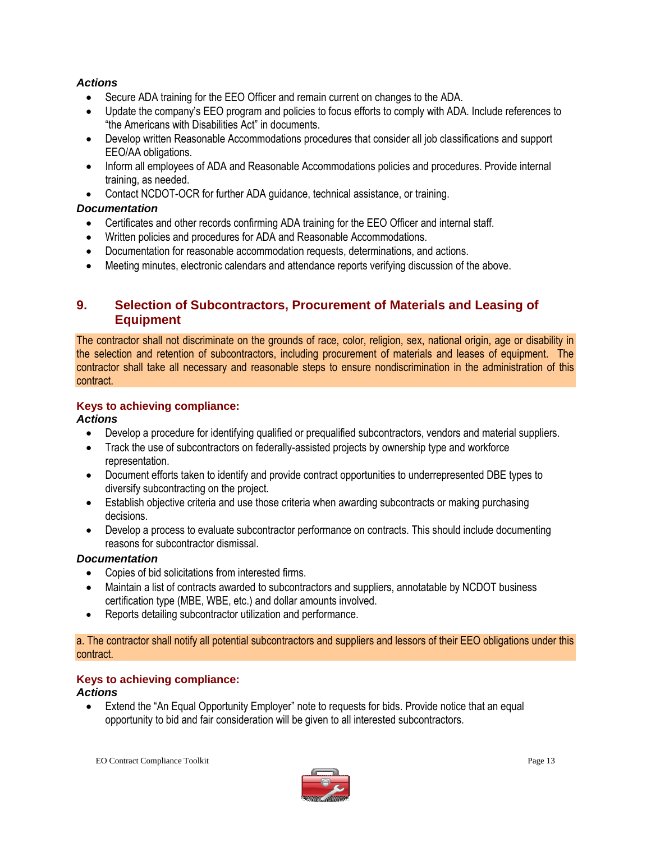#### *Actions*

- Secure ADA training for the EEO Officer and remain current on changes to the ADA.
- Update the company's EEO program and policies to focus efforts to comply with ADA. Include references to "the Americans with Disabilities Act" in documents.
- Develop written Reasonable Accommodations procedures that consider all job classifications and support EEO/AA obligations.
- Inform all employees of ADA and Reasonable Accommodations policies and procedures. Provide internal training, as needed.
- Contact NCDOT-OCR for further ADA guidance, technical assistance, or training.

#### *Documentation*

- Certificates and other records confirming ADA training for the EEO Officer and internal staff.
- Written policies and procedures for ADA and Reasonable Accommodations.
- Documentation for reasonable accommodation requests, determinations, and actions.
- Meeting minutes, electronic calendars and attendance reports verifying discussion of the above.

#### **9. Selection of Subcontractors, Procurement of Materials and Leasing of Equipment**

The contractor shall not discriminate on the grounds of race, color, religion, sex, national origin, age or disability in the selection and retention of subcontractors, including procurement of materials and leases of equipment. The contractor shall take all necessary and reasonable steps to ensure nondiscrimination in the administration of this contract.

#### **Keys to achieving compliance:**

#### *Actions*

- Develop a procedure for identifying qualified or prequalified subcontractors, vendors and material suppliers.
- Track the use of subcontractors on federally-assisted projects by ownership type and workforce representation.
- Document efforts taken to identify and provide contract opportunities to underrepresented DBE types to diversify subcontracting on the project.
- Establish objective criteria and use those criteria when awarding subcontracts or making purchasing decisions.
- Develop a process to evaluate subcontractor performance on contracts. This should include documenting reasons for subcontractor dismissal.

#### *Documentation*

- Copies of bid solicitations from interested firms.
- Maintain a list of contracts awarded to subcontractors and suppliers, annotatable by NCDOT business certification type (MBE, WBE, etc.) and dollar amounts involved.
- Reports detailing subcontractor utilization and performance.

a. The contractor shall notify all potential subcontractors and suppliers and lessors of their EEO obligations under this contract.

#### **Keys to achieving compliance:**

#### *Actions*

 Extend the "An Equal Opportunity Employer" note to requests for bids. Provide notice that an equal opportunity to bid and fair consideration will be given to all interested subcontractors.

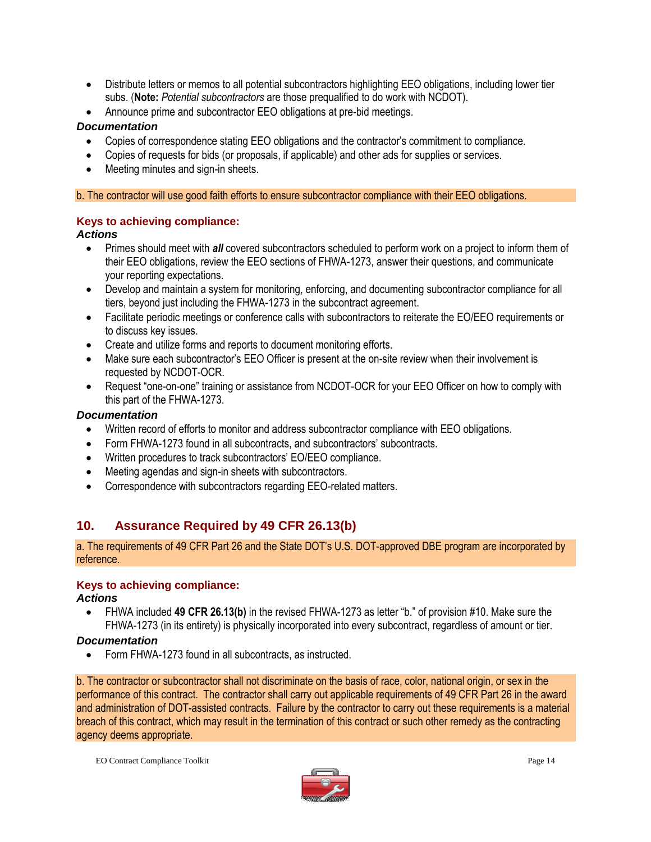- Distribute letters or memos to all potential subcontractors highlighting EEO obligations, including lower tier subs. (**Note:** *Potential subcontractors* are those prequalified to do work with NCDOT).
- Announce prime and subcontractor EEO obligations at pre-bid meetings.

#### *Documentation*

- Copies of correspondence stating EEO obligations and the contractor's commitment to compliance.
- Copies of requests for bids (or proposals, if applicable) and other ads for supplies or services.
- Meeting minutes and sign-in sheets.

b. The contractor will use good faith efforts to ensure subcontractor compliance with their EEO obligations.

#### **Keys to achieving compliance:**

#### *Actions*

- Primes should meet with *all* covered subcontractors scheduled to perform work on a project to inform them of their EEO obligations, review the EEO sections of FHWA-1273, answer their questions, and communicate your reporting expectations.
- Develop and maintain a system for monitoring, enforcing, and documenting subcontractor compliance for all tiers, beyond just including the FHWA-1273 in the subcontract agreement.
- Facilitate periodic meetings or conference calls with subcontractors to reiterate the EO/EEO requirements or to discuss key issues.
- Create and utilize forms and reports to document monitoring efforts.
- Make sure each subcontractor's EEO Officer is present at the on-site review when their involvement is requested by NCDOT-OCR.
- Request "one-on-one" training or assistance from NCDOT-OCR for your EEO Officer on how to comply with this part of the FHWA-1273.

#### *Documentation*

- Written record of efforts to monitor and address subcontractor compliance with EEO obligations.
- Form FHWA-1273 found in all subcontracts, and subcontractors' subcontracts.
- Written procedures to track subcontractors' EO/EEO compliance.
- Meeting agendas and sign-in sheets with subcontractors.
- Correspondence with subcontractors regarding EEO-related matters.

#### **10. Assurance Required by 49 CFR 26.13(b)**

a. The requirements of 49 CFR Part 26 and the State DOT's U.S. DOT-approved DBE program are incorporated by reference.

#### **Keys to achieving compliance:**

#### *Actions*

 FHWA included **49 CFR 26.13(b)** in the revised FHWA-1273 as letter "b." of provision #10. Make sure the FHWA-1273 (in its entirety) is physically incorporated into every subcontract, regardless of amount or tier.

#### *Documentation*

Form FHWA-1273 found in all subcontracts, as instructed.

b. The contractor or subcontractor shall not discriminate on the basis of race, color, national origin, or sex in the performance of this contract. The contractor shall carry out applicable requirements of 49 CFR Part 26 in the award and administration of DOT-assisted contracts. Failure by the contractor to carry out these requirements is a material breach of this contract, which may result in the termination of this contract or such other remedy as the contracting agency deems appropriate.

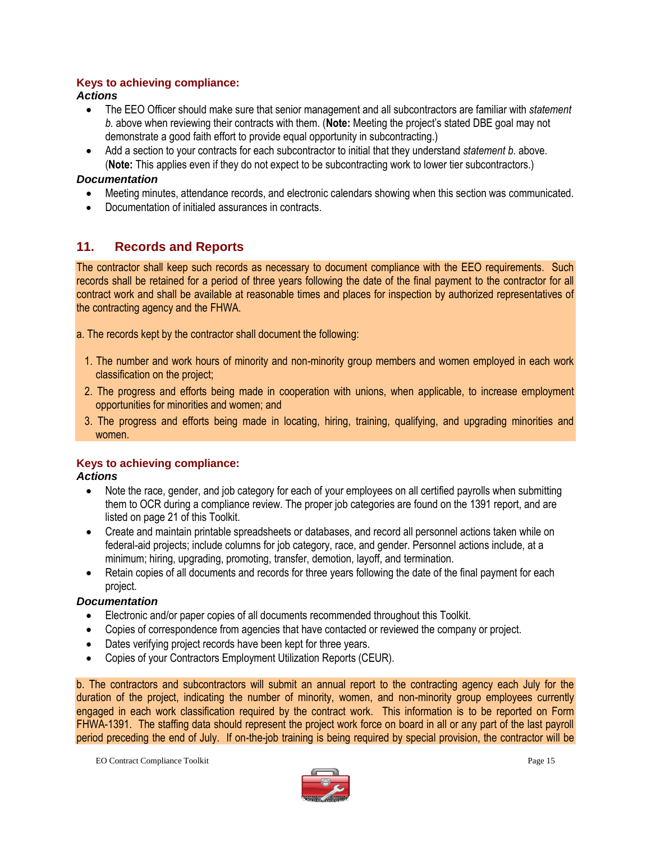#### **Keys to achieving compliance:**

#### *Actions*

- The EEO Officer should make sure that senior management and all subcontractors are familiar with *statement b.* above when reviewing their contracts with them. (**Note:** Meeting the project's stated DBE goal may not demonstrate a good faith effort to provide equal opportunity in subcontracting.)
- Add a section to your contracts for each subcontractor to initial that they understand *statement b.* above. (**Note:** This applies even if they do not expect to be subcontracting work to lower tier subcontractors.)

#### *Documentation*

- Meeting minutes, attendance records, and electronic calendars showing when this section was communicated.
- Documentation of initialed assurances in contracts.

#### **11. Records and Reports**

The contractor shall keep such records as necessary to document compliance with the EEO requirements. Such records shall be retained for a period of three years following the date of the final payment to the contractor for all contract work and shall be available at reasonable times and places for inspection by authorized representatives of the contracting agency and the FHWA.

a. The records kept by the contractor shall document the following:

- 1. The number and work hours of minority and non-minority group members and women employed in each work classification on the project;
- 2. The progress and efforts being made in cooperation with unions, when applicable, to increase employment opportunities for minorities and women; and
- 3. The progress and efforts being made in locating, hiring, training, qualifying, and upgrading minorities and women.

#### **Keys to achieving compliance:**

#### *Actions*

- Note the race, gender, and job category for each of your employees on all certified payrolls when submitting them to OCR during a compliance review. The proper job categories are found on the 1391 report, and are listed on page 21 of this Toolkit.
- Create and maintain printable spreadsheets or databases, and record all personnel actions taken while on federal-aid projects; include columns for job category, race, and gender. Personnel actions include, at a minimum; hiring, upgrading, promoting, transfer, demotion, layoff, and termination.
- Retain copies of all documents and records for three years following the date of the final payment for each project.

#### *Documentation*

- Electronic and/or paper copies of all documents recommended throughout this Toolkit.
- Copies of correspondence from agencies that have contacted or reviewed the company or project.
- Dates verifying project records have been kept for three years.
- Copies of your Contractors Employment Utilization Reports (CEUR).

b. The contractors and subcontractors will submit an annual report to the contracting agency each July for the duration of the project, indicating the number of minority, women, and non-minority group employees currently engaged in each work classification required by the contract work. This information is to be reported on Form FHWA-1391. The staffing data should represent the project work force on board in all or any part of the last payroll period preceding the end of July. If on-the-job training is being required by special provision, the contractor will be

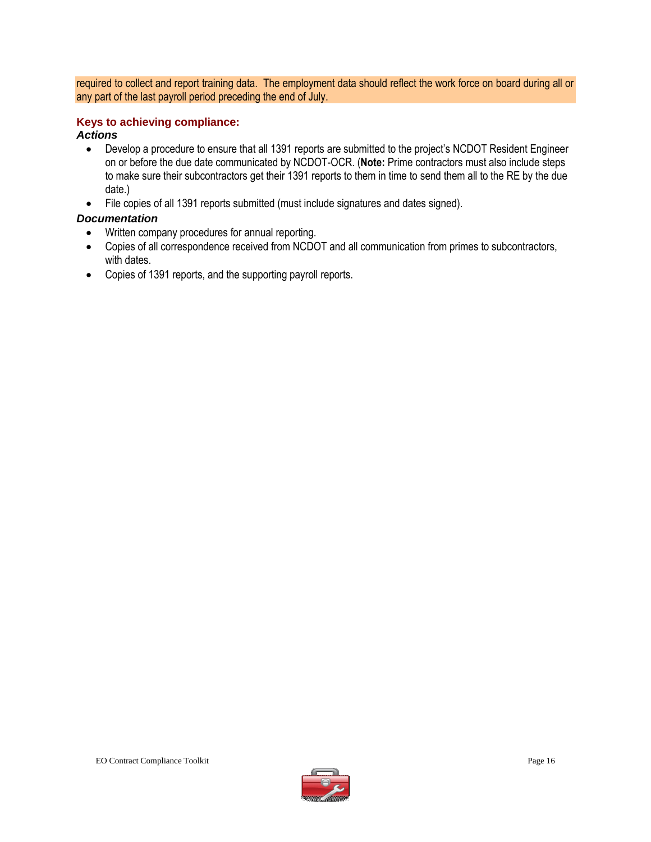required to collect and report training data. The employment data should reflect the work force on board during all or any part of the last payroll period preceding the end of July.

#### **Keys to achieving compliance:**

#### *Actions*

- Develop a procedure to ensure that all 1391 reports are submitted to the project's NCDOT Resident Engineer on or before the due date communicated by NCDOT-OCR. (**Note:** Prime contractors must also include steps to make sure their subcontractors get their 1391 reports to them in time to send them all to the RE by the due date.)
- File copies of all 1391 reports submitted (must include signatures and dates signed).

#### *Documentation*

- Written company procedures for annual reporting.
- Copies of all correspondence received from NCDOT and all communication from primes to subcontractors, with dates.
- Copies of 1391 reports, and the supporting payroll reports.

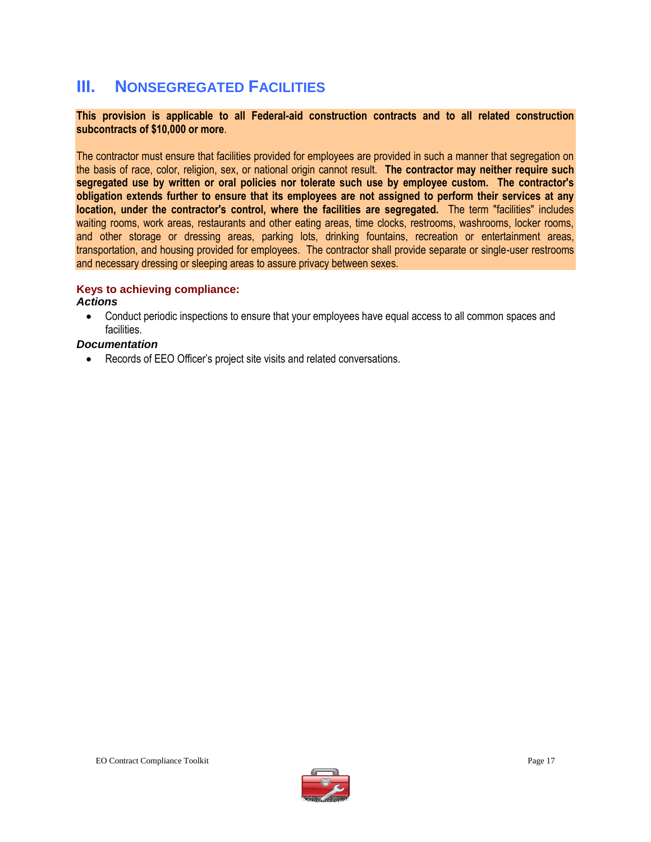### **III. NONSEGREGATED FACILITIES**

#### **This provision is applicable to all Federal-aid construction contracts and to all related construction subcontracts of \$10,000 or more**.

The contractor must ensure that facilities provided for employees are provided in such a manner that segregation on the basis of race, color, religion, sex, or national origin cannot result. **The contractor may neither require such segregated use by written or oral policies nor tolerate such use by employee custom. The contractor's obligation extends further to ensure that its employees are not assigned to perform their services at any location, under the contractor's control, where the facilities are segregated.** The term "facilities" includes waiting rooms, work areas, restaurants and other eating areas, time clocks, restrooms, washrooms, locker rooms, and other storage or dressing areas, parking lots, drinking fountains, recreation or entertainment areas, transportation, and housing provided for employees. The contractor shall provide separate or single-user restrooms and necessary dressing or sleeping areas to assure privacy between sexes.

#### **Keys to achieving compliance:**

#### *Actions*

 Conduct periodic inspections to ensure that your employees have equal access to all common spaces and facilities.

#### *Documentation*

Records of EEO Officer's project site visits and related conversations.

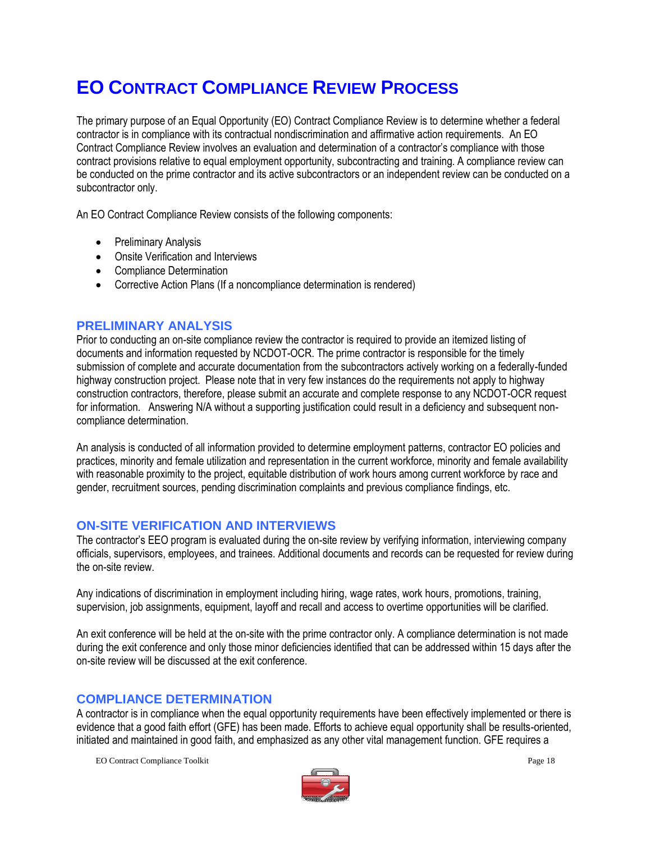## **EO CONTRACT COMPLIANCE REVIEW PROCESS**

The primary purpose of an Equal Opportunity (EO) Contract Compliance Review is to determine whether a federal contractor is in compliance with its contractual nondiscrimination and affirmative action requirements. An EO Contract Compliance Review involves an evaluation and determination of a contractor's compliance with those contract provisions relative to equal employment opportunity, subcontracting and training. A compliance review can be conducted on the prime contractor and its active subcontractors or an independent review can be conducted on a subcontractor only.

An EO Contract Compliance Review consists of the following components:

- Preliminary Analysis
- Onsite Verification and Interviews
- Compliance Determination
- Corrective Action Plans (If a noncompliance determination is rendered)

#### **PRELIMINARY ANALYSIS**

Prior to conducting an on-site compliance review the contractor is required to provide an itemized listing of documents and information requested by NCDOT-OCR. The prime contractor is responsible for the timely submission of complete and accurate documentation from the subcontractors actively working on a federally-funded highway construction project. Please note that in very few instances do the requirements not apply to highway construction contractors, therefore, please submit an accurate and complete response to any NCDOT-OCR request for information. Answering N/A without a supporting justification could result in a deficiency and subsequent noncompliance determination.

An analysis is conducted of all information provided to determine employment patterns, contractor EO policies and practices, minority and female utilization and representation in the current workforce, minority and female availability with reasonable proximity to the project, equitable distribution of work hours among current workforce by race and gender, recruitment sources, pending discrimination complaints and previous compliance findings, etc.

#### **ON-SITE VERIFICATION AND INTERVIEWS**

The contractor's EEO program is evaluated during the on-site review by verifying information, interviewing company officials, supervisors, employees, and trainees. Additional documents and records can be requested for review during the on-site review.

Any indications of discrimination in employment including hiring, wage rates, work hours, promotions, training, supervision, job assignments, equipment, layoff and recall and access to overtime opportunities will be clarified.

An exit conference will be held at the on-site with the prime contractor only. A compliance determination is not made during the exit conference and only those minor deficiencies identified that can be addressed within 15 days after the on-site review will be discussed at the exit conference.

#### **COMPLIANCE DETERMINATION**

A contractor is in compliance when the equal opportunity requirements have been effectively implemented or there is evidence that a good faith effort (GFE) has been made. Efforts to achieve equal opportunity shall be results-oriented, initiated and maintained in good faith, and emphasized as any other vital management function. GFE requires a

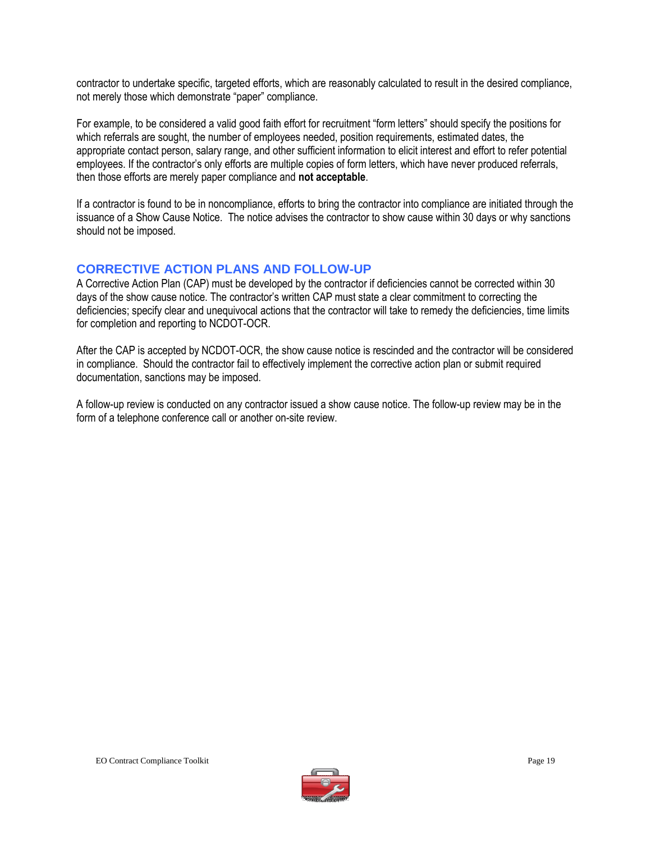contractor to undertake specific, targeted efforts, which are reasonably calculated to result in the desired compliance, not merely those which demonstrate "paper" compliance.

For example, to be considered a valid good faith effort for recruitment "form letters" should specify the positions for which referrals are sought, the number of employees needed, position requirements, estimated dates, the appropriate contact person, salary range, and other sufficient information to elicit interest and effort to refer potential employees. If the contractor's only efforts are multiple copies of form letters, which have never produced referrals, then those efforts are merely paper compliance and **not acceptable**.

If a contractor is found to be in noncompliance, efforts to bring the contractor into compliance are initiated through the issuance of a Show Cause Notice. The notice advises the contractor to show cause within 30 days or why sanctions should not be imposed.

#### **CORRECTIVE ACTION PLANS AND FOLLOW-UP**

A Corrective Action Plan (CAP) must be developed by the contractor if deficiencies cannot be corrected within 30 days of the show cause notice. The contractor's written CAP must state a clear commitment to correcting the deficiencies; specify clear and unequivocal actions that the contractor will take to remedy the deficiencies, time limits for completion and reporting to NCDOT-OCR.

After the CAP is accepted by NCDOT-OCR, the show cause notice is rescinded and the contractor will be considered in compliance. Should the contractor fail to effectively implement the corrective action plan or submit required documentation, sanctions may be imposed.

A follow-up review is conducted on any contractor issued a show cause notice. The follow-up review may be in the form of a telephone conference call or another on-site review.

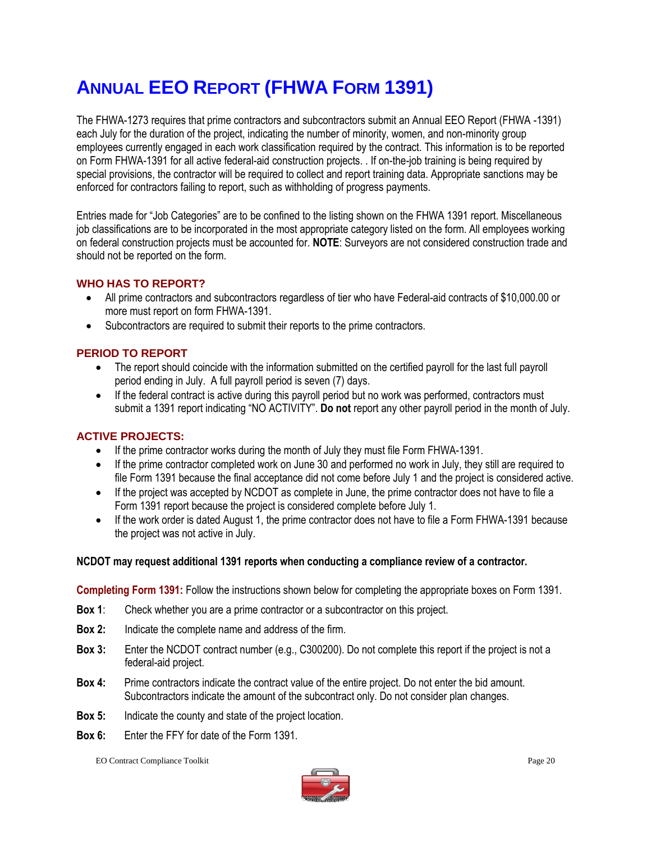## **ANNUAL EEO REPORT (FHWA FORM 1391)**

The FHWA-1273 requires that prime contractors and subcontractors submit an Annual EEO Report (FHWA -1391) each July for the duration of the project, indicating the number of minority, women, and non-minority group employees currently engaged in each work classification required by the contract. This information is to be reported on Form FHWA-1391 for all active federal-aid construction projects. . If on-the-job training is being required by special provisions, the contractor will be required to collect and report training data. Appropriate sanctions may be enforced for contractors failing to report, such as withholding of progress payments.

Entries made for "Job Categories" are to be confined to the listing shown on the FHWA 1391 report. Miscellaneous job classifications are to be incorporated in the most appropriate category listed on the form. All employees working on federal construction projects must be accounted for. **NOTE**: Surveyors are not considered construction trade and should not be reported on the form.

#### **WHO HAS TO REPORT?**

- All prime contractors and subcontractors regardless of tier who have Federal-aid contracts of \$10,000.00 or more must report on form FHWA-1391.
- Subcontractors are required to submit their reports to the prime contractors.

#### **PERIOD TO REPORT**

- The report should coincide with the information submitted on the certified payroll for the last full payroll period ending in July. A full payroll period is seven (7) days.
- If the federal contract is active during this payroll period but no work was performed, contractors must submit a 1391 report indicating "NO ACTIVITY". **Do not** report any other payroll period in the month of July.

#### **ACTIVE PROJECTS:**

- If the prime contractor works during the month of July they must file Form FHWA-1391.
- If the prime contractor completed work on June 30 and performed no work in July, they still are required to file Form 1391 because the final acceptance did not come before July 1 and the project is considered active.
- If the project was accepted by NCDOT as complete in June, the prime contractor does not have to file a Form 1391 report because the project is considered complete before July 1.
- If the work order is dated August 1, the prime contractor does not have to file a Form FHWA-1391 because the project was not active in July.

#### **NCDOT may request additional 1391 reports when conducting a compliance review of a contractor.**

**Completing Form 1391:** Follow the instructions shown below for completing the appropriate boxes on Form 1391.

- **Box 1**: Check whether you are a prime contractor or a subcontractor on this project.
- **Box 2:** Indicate the complete name and address of the firm.
- **Box 3:** Enter the NCDOT contract number (e.g., C300200). Do not complete this report if the project is not a federal-aid project.
- **Box 4:** Prime contractors indicate the contract value of the entire project. Do not enter the bid amount. Subcontractors indicate the amount of the subcontract only. Do not consider plan changes.
- **Box 5:** Indicate the county and state of the project location.
- **Box 6:** Enter the FFY for date of the Form 1391.

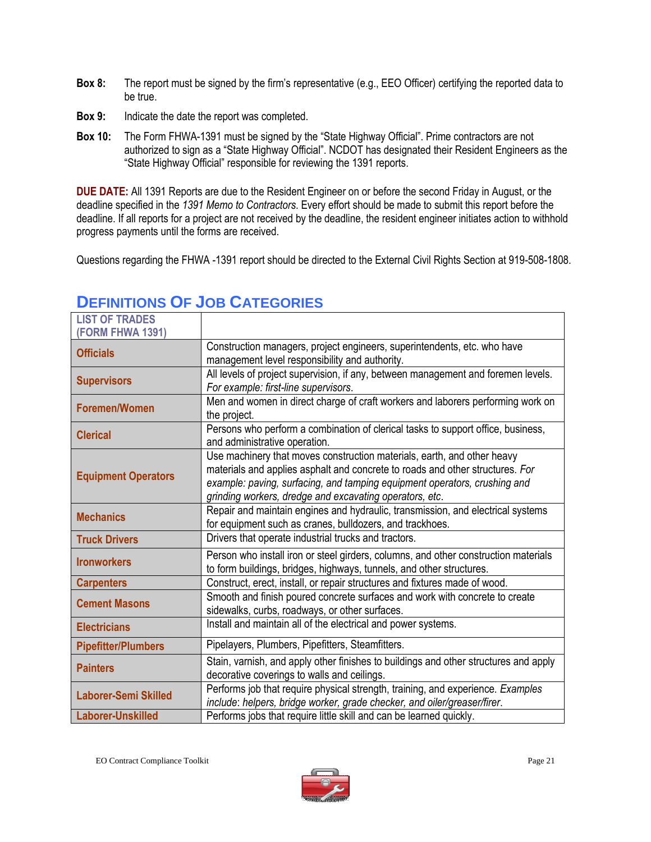- **Box 8:** The report must be signed by the firm's representative (e.g., EEO Officer) certifying the reported data to be true.
- **Box 9:** Indicate the date the report was completed.
- **Box 10:** The Form FHWA-1391 must be signed by the "State Highway Official". Prime contractors are not authorized to sign as a "State Highway Official". NCDOT has designated their Resident Engineers as the "State Highway Official" responsible for reviewing the 1391 reports.

**DUE DATE:** All 1391 Reports are due to the Resident Engineer on or before the second Friday in August, or the deadline specified in the *1391 Memo to Contractors*. Every effort should be made to submit this report before the deadline. If all reports for a project are not received by the deadline, the resident engineer initiates action to withhold progress payments until the forms are received.

Questions regarding the FHWA -1391 report should be directed to the External Civil Rights Section at 919-508-1808.

| <b>LIST OF TRADES</b><br><b>(FORM FHWA 1391)</b> |                                                                                                                                                                                                                                                                                                  |
|--------------------------------------------------|--------------------------------------------------------------------------------------------------------------------------------------------------------------------------------------------------------------------------------------------------------------------------------------------------|
| <b>Officials</b>                                 | Construction managers, project engineers, superintendents, etc. who have<br>management level responsibility and authority.                                                                                                                                                                       |
| <b>Supervisors</b>                               | All levels of project supervision, if any, between management and foremen levels.<br>For example: first-line supervisors.                                                                                                                                                                        |
| Foremen/Women                                    | Men and women in direct charge of craft workers and laborers performing work on<br>the project.                                                                                                                                                                                                  |
| <b>Clerical</b>                                  | Persons who perform a combination of clerical tasks to support office, business,<br>and administrative operation.                                                                                                                                                                                |
| <b>Equipment Operators</b>                       | Use machinery that moves construction materials, earth, and other heavy<br>materials and applies asphalt and concrete to roads and other structures. For<br>example: paving, surfacing, and tamping equipment operators, crushing and<br>grinding workers, dredge and excavating operators, etc. |
| <b>Mechanics</b>                                 | Repair and maintain engines and hydraulic, transmission, and electrical systems<br>for equipment such as cranes, bulldozers, and trackhoes.                                                                                                                                                      |
| <b>Truck Drivers</b>                             | Drivers that operate industrial trucks and tractors.                                                                                                                                                                                                                                             |
| <b>Ironworkers</b>                               | Person who install iron or steel girders, columns, and other construction materials<br>to form buildings, bridges, highways, tunnels, and other structures.                                                                                                                                      |
| <b>Carpenters</b>                                | Construct, erect, install, or repair structures and fixtures made of wood.                                                                                                                                                                                                                       |
| <b>Cement Masons</b>                             | Smooth and finish poured concrete surfaces and work with concrete to create<br>sidewalks, curbs, roadways, or other surfaces.                                                                                                                                                                    |
| <b>Electricians</b>                              | Install and maintain all of the electrical and power systems.                                                                                                                                                                                                                                    |
| <b>Pipefitter/Plumbers</b>                       | Pipelayers, Plumbers, Pipefitters, Steamfitters.                                                                                                                                                                                                                                                 |
| <b>Painters</b>                                  | Stain, varnish, and apply other finishes to buildings and other structures and apply<br>decorative coverings to walls and ceilings.                                                                                                                                                              |
| <b>Laborer-Semi Skilled</b>                      | Performs job that require physical strength, training, and experience. Examples<br>include: helpers, bridge worker, grade checker, and oiler/greaser/firer.                                                                                                                                      |
| <b>Laborer-Unskilled</b>                         | Performs jobs that require little skill and can be learned quickly.                                                                                                                                                                                                                              |

## **DEFINITIONS OF JOB CATEGORIES**

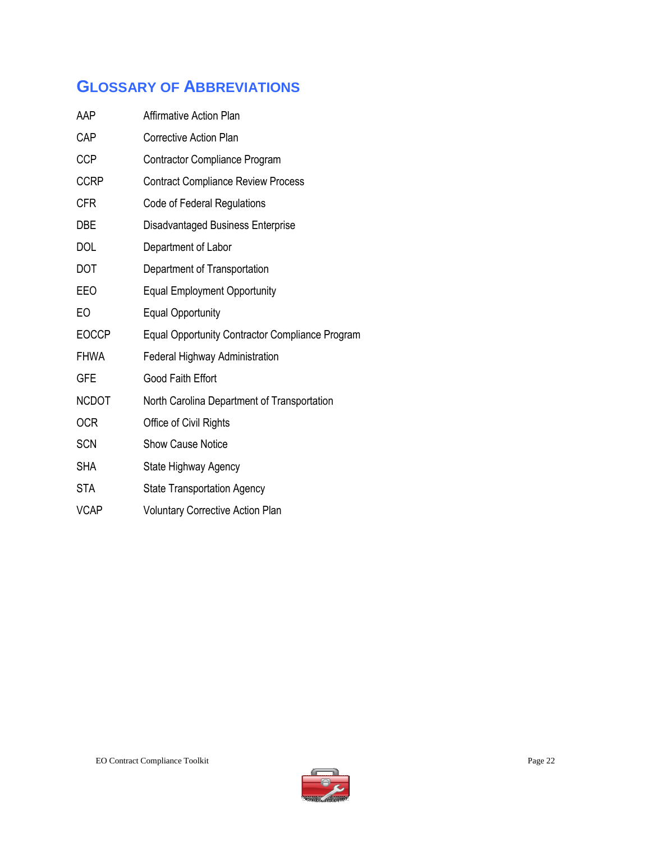### **GLOSSARY OF ABBREVIATIONS**

| AAP          | <b>Affirmative Action Plan</b>                         |
|--------------|--------------------------------------------------------|
| CAP          | <b>Corrective Action Plan</b>                          |
| <b>CCP</b>   | <b>Contractor Compliance Program</b>                   |
| <b>CCRP</b>  | <b>Contract Compliance Review Process</b>              |
| <b>CFR</b>   | Code of Federal Regulations                            |
| <b>DBE</b>   | Disadvantaged Business Enterprise                      |
| <b>DOL</b>   | Department of Labor                                    |
| <b>DOT</b>   | Department of Transportation                           |
| EE0          | <b>Equal Employment Opportunity</b>                    |
| EO           | <b>Equal Opportunity</b>                               |
| <b>EOCCP</b> | <b>Equal Opportunity Contractor Compliance Program</b> |
| <b>FHWA</b>  | <b>Federal Highway Administration</b>                  |
| <b>GFE</b>   | Good Faith Effort                                      |
| <b>NCDOT</b> | North Carolina Department of Transportation            |
| <b>OCR</b>   | Office of Civil Rights                                 |
| <b>SCN</b>   | <b>Show Cause Notice</b>                               |
| <b>SHA</b>   | State Highway Agency                                   |
| <b>STA</b>   | <b>State Transportation Agency</b>                     |
| <b>VCAP</b>  | <b>Voluntary Corrective Action Plan</b>                |
|              |                                                        |

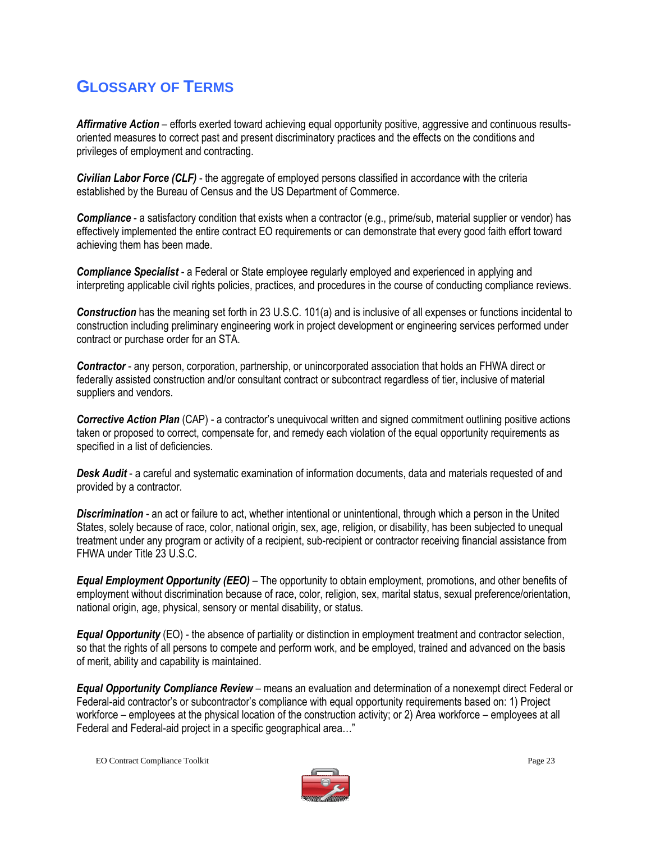### **GLOSSARY OF TERMS**

Affirmative Action – efforts exerted toward achieving equal opportunity positive, aggressive and continuous resultsoriented measures to correct past and present discriminatory practices and the effects on the conditions and privileges of employment and contracting.

*Civilian Labor Force (CLF)* - the aggregate of employed persons classified in accordance with the criteria established by the Bureau of Census and the US Department of Commerce.

*Compliance* - a satisfactory condition that exists when a contractor (e.g., prime/sub, material supplier or vendor) has effectively implemented the entire contract EO requirements or can demonstrate that every good faith effort toward achieving them has been made.

*Compliance Specialist* - a Federal or State employee regularly employed and experienced in applying and interpreting applicable civil rights policies, practices, and procedures in the course of conducting compliance reviews.

*Construction* has the meaning set forth in 23 U.S.C. 101(a) and is inclusive of all expenses or functions incidental to construction including preliminary engineering work in project development or engineering services performed under contract or purchase order for an STA.

*Contractor* - any person, corporation, partnership, or unincorporated association that holds an FHWA direct or federally assisted construction and/or consultant contract or subcontract regardless of tier, inclusive of material suppliers and vendors.

*Corrective Action Plan* (CAP) - a contractor's unequivocal written and signed commitment outlining positive actions taken or proposed to correct, compensate for, and remedy each violation of the equal opportunity requirements as specified in a list of deficiencies.

*Desk Audit* - a careful and systematic examination of information documents, data and materials requested of and provided by a contractor.

*Discrimination* - an act or failure to act, whether intentional or unintentional, through which a person in the United States, solely because of race, color, national origin, sex, age, religion, or disability, has been subjected to unequal treatment under any program or activity of a recipient, sub-recipient or contractor receiving financial assistance from FHWA under Title 23 U.S.C.

*Equal Employment Opportunity (EEO)* – The opportunity to obtain employment, promotions, and other benefits of employment without discrimination because of race, color, religion, sex, marital status, sexual preference/orientation, national origin, age, physical, sensory or mental disability, or status.

*Equal Opportunity* (EO) - the absence of partiality or distinction in employment treatment and contractor selection, so that the rights of all persons to compete and perform work, and be employed, trained and advanced on the basis of merit, ability and capability is maintained.

*Equal Opportunity Compliance Review* – means an evaluation and determination of a nonexempt direct Federal or Federal-aid contractor's or subcontractor's compliance with equal opportunity requirements based on: 1) Project workforce – employees at the physical location of the construction activity; or 2) Area workforce – employees at all Federal and Federal-aid project in a specific geographical area…"

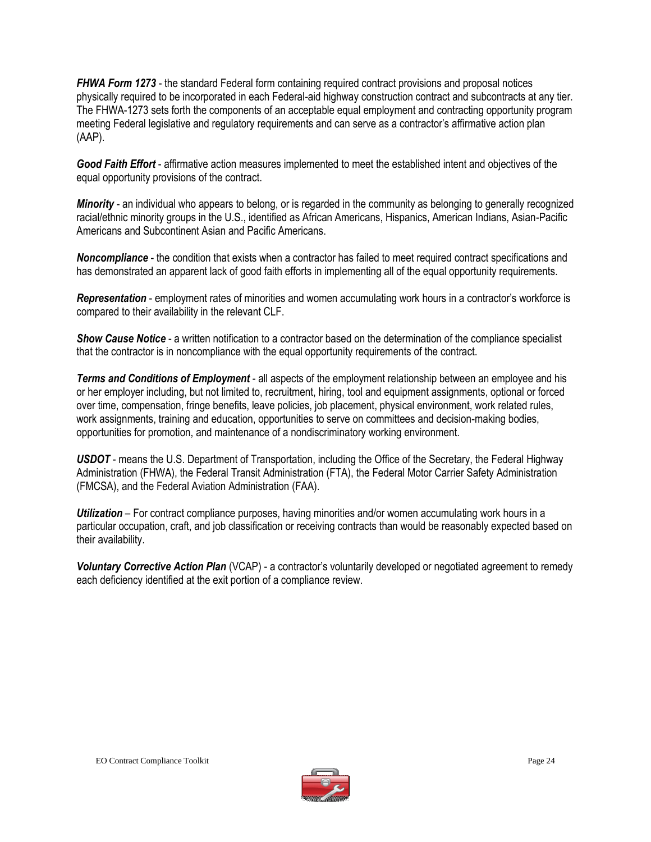*FHWA Form 1273* - the standard Federal form containing required contract provisions and proposal notices physically required to be incorporated in each Federal-aid highway construction contract and subcontracts at any tier. The FHWA-1273 sets forth the components of an acceptable equal employment and contracting opportunity program meeting Federal legislative and regulatory requirements and can serve as a contractor's affirmative action plan (AAP).

*Good Faith Effort* - affirmative action measures implemented to meet the established intent and objectives of the equal opportunity provisions of the contract.

*Minority* - an individual who appears to belong, or is regarded in the community as belonging to generally recognized racial/ethnic minority groups in the U.S., identified as African Americans, Hispanics, American Indians, Asian-Pacific Americans and Subcontinent Asian and Pacific Americans.

*Noncompliance* - the condition that exists when a contractor has failed to meet required contract specifications and has demonstrated an apparent lack of good faith efforts in implementing all of the equal opportunity requirements.

*Representation* - employment rates of minorities and women accumulating work hours in a contractor's workforce is compared to their availability in the relevant CLF.

*Show Cause Notice* - a written notification to a contractor based on the determination of the compliance specialist that the contractor is in noncompliance with the equal opportunity requirements of the contract.

*Terms and Conditions of Employment* - all aspects of the employment relationship between an employee and his or her employer including, but not limited to, recruitment, hiring, tool and equipment assignments, optional or forced over time, compensation, fringe benefits, leave policies, job placement, physical environment, work related rules, work assignments, training and education, opportunities to serve on committees and decision-making bodies, opportunities for promotion, and maintenance of a nondiscriminatory working environment.

*USDOT* - means the U.S. Department of Transportation, including the Office of the Secretary, the Federal Highway Administration (FHWA), the Federal Transit Administration (FTA), the Federal Motor Carrier Safety Administration (FMCSA), and the Federal Aviation Administration (FAA).

*Utilization* – For contract compliance purposes, having minorities and/or women accumulating work hours in a particular occupation, craft, and job classification or receiving contracts than would be reasonably expected based on their availability.

*Voluntary Corrective Action Plan* (VCAP) - a contractor's voluntarily developed or negotiated agreement to remedy each deficiency identified at the exit portion of a compliance review.

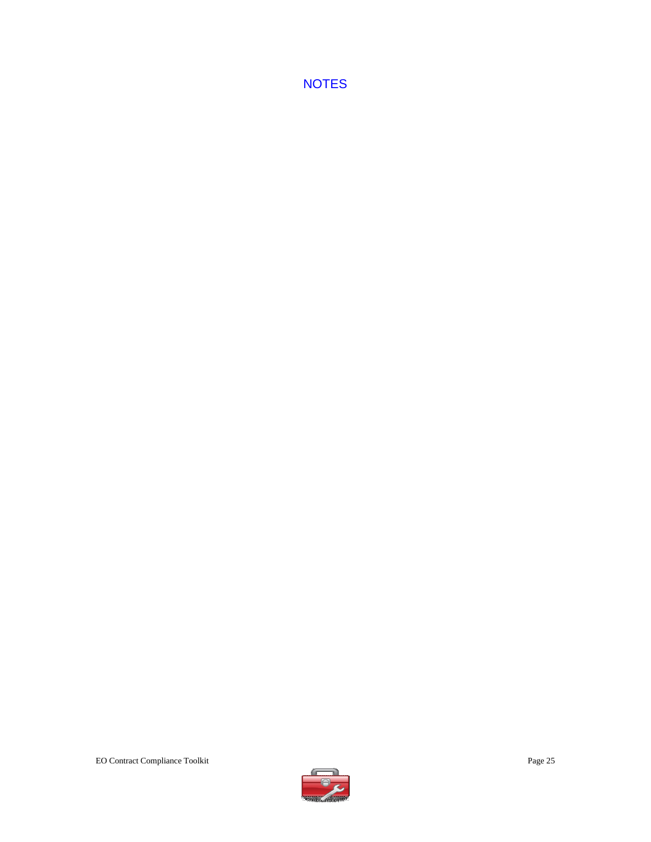**NOTES** 

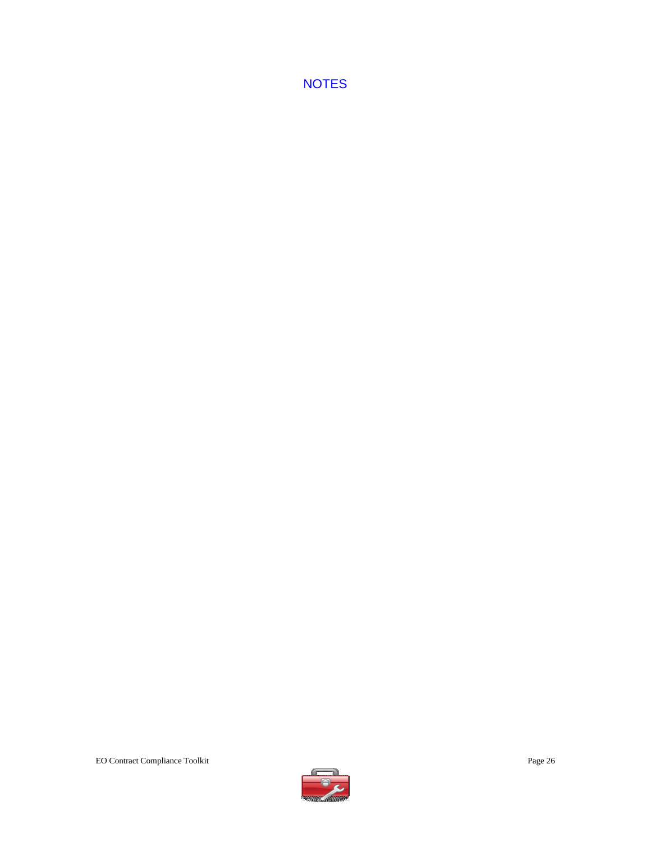**NOTES**